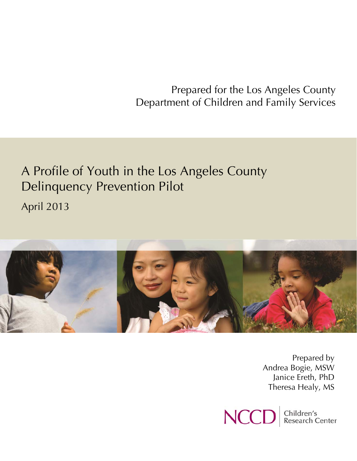Prepared for the Los Angeles County Department of Children and Family Services

# A Profile of Youth in the Los Angeles County Delinquency Prevention Pilot April 2013



Prepared by Andrea Bogie, MSW Janice Ereth, PhD Theresa Healy, MS

Children's<br>Research Center **NCC**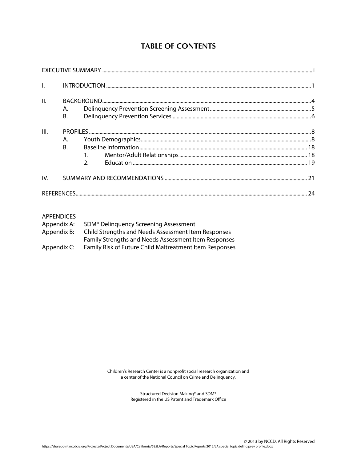# **TABLE OF CONTENTS**

| $\mathbf{L}$ |                 |         |  |
|--------------|-----------------|---------|--|
| II.          | A.<br><b>B.</b> |         |  |
| III.         | А.<br><b>B.</b> | $2^{n}$ |  |
| IV.          |                 |         |  |
|              |                 |         |  |

# APPENDICES

| Appendix A: | SDM <sup>®</sup> Delinguency Screening Assessment           |
|-------------|-------------------------------------------------------------|
| Appendix B: | Child Strengths and Needs Assessment Item Responses         |
|             | <b>Family Strengths and Needs Assessment Item Responses</b> |
| Appendix C: | Family Risk of Future Child Maltreatment Item Responses     |

Children's Research Center is a nonprofit social research organization and a center of the National Council on Crime and Delinquency.

> Structured Decision Making® and SDM® Registered in the US Patent and Trademark Office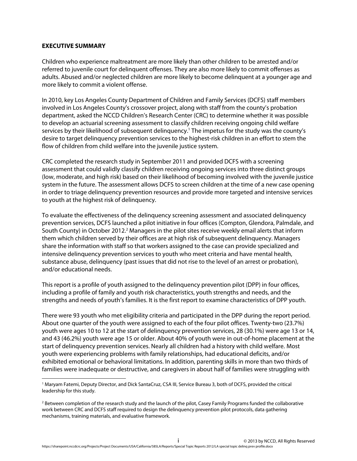# **EXECUTIVE SUMMARY**

 $\overline{a}$ 

Children who experience maltreatment are more likely than other children to be arrested and/or referred to juvenile court for delinquent offenses. They are also more likely to commit offenses as adults. Abused and/or neglected children are more likely to become delinquent at a younger age and more likely to commit a violent offense.

In 2010, key Los Angeles County Department of Children and Family Services (DCFS) staff members involved in Los Angeles County's crossover project, along with staff from the county's probation department, asked the NCCD Children's Research Center (CRC) to determine whether it was possible to develop an actuarial screening assessment to classify children receiving ongoing child welfare services by their likelihood of subsequent delinquency.<sup>1</sup> The impetus for the study was the county's desire to target delinquency prevention services to the highest-risk children in an effort to stem the flow of children from child welfare into the juvenile justice system.

CRC completed the research study in September 2011 and provided DCFS with a screening assessment that could validly classify children receiving ongoing services into three distinct groups (low, moderate, and high risk) based on their likelihood of becoming involved with the juvenile justice system in the future. The assessment allows DCFS to screen children at the time of a new case opening in order to triage delinquency prevention resources and provide more targeted and intensive services to youth at the highest risk of delinquency.

To evaluate the effectiveness of the delinquency screening assessment and associated delinquency prevention services, DCFS launched a pilot initiative in four offices (Compton, Glendora, Palmdale, and South County) in October 2012.<sup>2</sup> Managers in the pilot sites receive weekly email alerts that inform them which children served by their offices are at high risk of subsequent delinquency. Managers share the information with staff so that workers assigned to the case can provide specialized and intensive delinquency prevention services to youth who meet criteria and have mental health, substance abuse, delinquency (past issues that did not rise to the level of an arrest or probation), and/or educational needs.

This report is a profile of youth assigned to the delinquency prevention pilot (DPP) in four offices, including a profile of family and youth risk characteristics, youth strengths and needs, and the strengths and needs of youth's families. It is the first report to examine characteristics of DPP youth.

There were 93 youth who met eligibility criteria and participated in the DPP during the report period. About one quarter of the youth were assigned to each of the four pilot offices. Twenty-two (23.7%) youth were ages 10 to 12 at the start of delinquency prevention services, 28 (30.1%) were age 13 or 14, and 43 (46.2%) youth were age 15 or older. About 40% of youth were in out-of-home placement at the start of delinquency prevention services. Nearly all children had a history with child welfare. Most youth were experiencing problems with family relationships, had educational deficits, and/or exhibited emotional or behavioral limitations. In addition, parenting skills in more than two thirds of families were inadequate or destructive, and caregivers in about half of families were struggling with

<sup>1</sup> Maryam Fatemi, Deputy Director, and Dick SantaCruz, CSA III, Service Bureau 3, both of DCFS, provided the critical leadership for this study.

<sup>&</sup>lt;sup>2</sup> Between completion of the research study and the launch of the pilot, Casey Family Programs funded the collaborative work between CRC and DCFS staff required to design the delinquency prevention pilot protocols, data gathering mechanisms, training materials, and evaluative framework.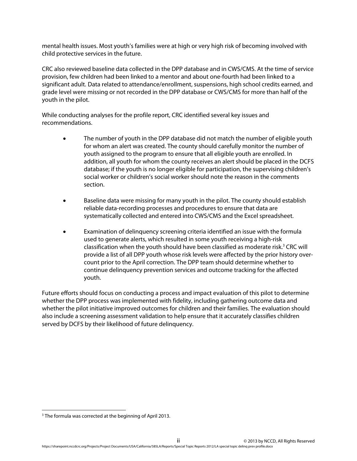mental health issues. Most youth's families were at high or very high risk of becoming involved with child protective services in the future.

CRC also reviewed baseline data collected in the DPP database and in CWS/CMS. At the time of service provision, few children had been linked to a mentor and about one-fourth had been linked to a significant adult. Data related to attendance/enrollment, suspensions, high school credits earned, and grade level were missing or not recorded in the DPP database or CWS/CMS for more than half of the youth in the pilot.

While conducting analyses for the profile report, CRC identified several key issues and recommendations.

- The number of youth in the DPP database did not match the number of eligible youth for whom an alert was created. The county should carefully monitor the number of youth assigned to the program to ensure that all eligible youth are enrolled. In addition, all youth for whom the county receives an alert should be placed in the DCFS database; if the youth is no longer eligible for participation, the supervising children's social worker or children's social worker should note the reason in the comments section.
- Baseline data were missing for many youth in the pilot. The county should establish reliable data-recording processes and procedures to ensure that data are systematically collected and entered into CWS/CMS and the Excel spreadsheet.
- Examination of delinquency screening criteria identified an issue with the formula used to generate alerts, which resulted in some youth receiving a high-risk classification when the youth should have been classified as moderate risk.<sup>3</sup> CRC will provide a list of all DPP youth whose risk levels were affected by the prior history overcount prior to the April correction. The DPP team should determine whether to continue delinquency prevention services and outcome tracking for the affected youth.

Future efforts should focus on conducting a process and impact evaluation of this pilot to determine whether the DPP process was implemented with fidelity, including gathering outcome data and whether the pilot initiative improved outcomes for children and their families. The evaluation should also include a screening assessment validation to help ensure that it accurately classifies children served by DCFS by their likelihood of future delinquency.

 $\overline{a}$ 

<sup>&</sup>lt;sup>3</sup> The formula was corrected at the beginning of April 2013.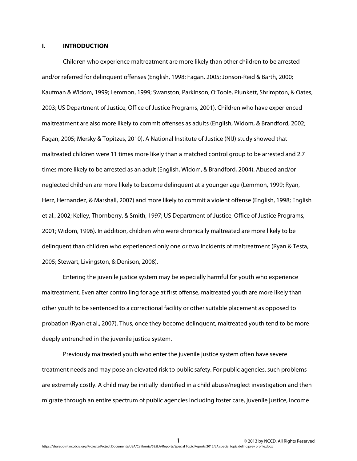#### **I. INTRODUCTION**

Children who experience maltreatment are more likely than other children to be arrested and/or referred for delinquent offenses (English, 1998; Fagan, 2005; Jonson-Reid & Barth, 2000; Kaufman & Widom, 1999; Lemmon, 1999; Swanston, Parkinson, O'Toole, Plunkett, Shrimpton, & Oates, 2003; US Department of Justice, Office of Justice Programs, 2001). Children who have experienced maltreatment are also more likely to commit offenses as adults (English, Widom, & Brandford, 2002; Fagan, 2005; Mersky & Topitzes, 2010). A National Institute of Justice (NIJ) study showed that maltreated children were 11 times more likely than a matched control group to be arrested and 2.7 times more likely to be arrested as an adult (English, Widom, & Brandford, 2004). Abused and/or neglected children are more likely to become delinquent at a younger age (Lemmon, 1999; Ryan, Herz, Hernandez, & Marshall, 2007) and more likely to commit a violent offense (English, 1998; English et al., 2002; Kelley, Thornberry, & Smith, 1997; US Department of Justice, Office of Justice Programs, 2001; Widom, 1996). In addition, children who were chronically maltreated are more likely to be delinquent than children who experienced only one or two incidents of maltreatment (Ryan & Testa, 2005; Stewart, Livingston, & Denison, 2008).

Entering the juvenile justice system may be especially harmful for youth who experience maltreatment. Even after controlling for age at first offense, maltreated youth are more likely than other youth to be sentenced to a correctional facility or other suitable placement as opposed to probation (Ryan et al., 2007). Thus, once they become delinquent, maltreated youth tend to be more deeply entrenched in the juvenile justice system.

 Previously maltreated youth who enter the juvenile justice system often have severe treatment needs and may pose an elevated risk to public safety. For public agencies, such problems are extremely costly. A child may be initially identified in a child abuse/neglect investigation and then migrate through an entire spectrum of public agencies including foster care, juvenile justice, income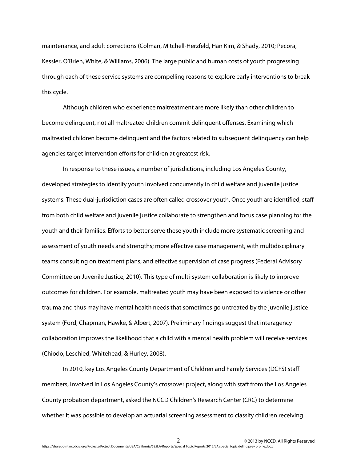maintenance, and adult corrections (Colman, Mitchell-Herzfeld, Han Kim, & Shady, 2010; Pecora, Kessler, O'Brien, White, & Williams, 2006). The large public and human costs of youth progressing through each of these service systems are compelling reasons to explore early interventions to break this cycle.

Although children who experience maltreatment are more likely than other children to become delinquent, not all maltreated children commit delinquent offenses. Examining which maltreated children become delinquent and the factors related to subsequent delinquency can help agencies target intervention efforts for children at greatest risk.

 In response to these issues, a number of jurisdictions, including Los Angeles County, developed strategies to identify youth involved concurrently in child welfare and juvenile justice systems. These dual-jurisdiction cases are often called crossover youth. Once youth are identified, staff from both child welfare and juvenile justice collaborate to strengthen and focus case planning for the youth and their families. Efforts to better serve these youth include more systematic screening and assessment of youth needs and strengths; more effective case management, with multidisciplinary teams consulting on treatment plans; and effective supervision of case progress (Federal Advisory Committee on Juvenile Justice, 2010). This type of multi-system collaboration is likely to improve outcomes for children. For example, maltreated youth may have been exposed to violence or other trauma and thus may have mental health needs that sometimes go untreated by the juvenile justice system (Ford, Chapman, Hawke, & Albert, 2007). Preliminary findings suggest that interagency collaboration improves the likelihood that a child with a mental health problem will receive services (Chiodo, Leschied, Whitehead, & Hurley, 2008).

In 2010, key Los Angeles County Department of Children and Family Services (DCFS) staff members, involved in Los Angeles County's crossover project, along with staff from the Los Angeles County probation department, asked the NCCD Children's Research Center (CRC) to determine whether it was possible to develop an actuarial screening assessment to classify children receiving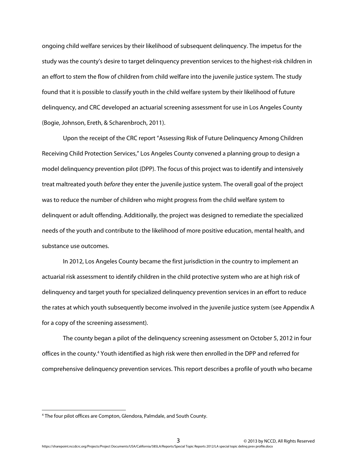ongoing child welfare services by their likelihood of subsequent delinquency. The impetus for the study was the county's desire to target delinquency prevention services to the highest-risk children in an effort to stem the flow of children from child welfare into the juvenile justice system. The study found that it is possible to classify youth in the child welfare system by their likelihood of future delinquency, and CRC developed an actuarial screening assessment for use in Los Angeles County (Bogie, Johnson, Ereth, & Scharenbroch, 2011).

 Upon the receipt of the CRC report "Assessing Risk of Future Delinquency Among Children Receiving Child Protection Services," Los Angeles County convened a planning group to design a model delinquency prevention pilot (DPP). The focus of this project was to identify and intensively treat maltreated youth *before* they enter the juvenile justice system. The overall goal of the project was to reduce the number of children who might progress from the child welfare system to delinquent or adult offending. Additionally, the project was designed to remediate the specialized needs of the youth and contribute to the likelihood of more positive education, mental health, and substance use outcomes.

 In 2012, Los Angeles County became the first jurisdiction in the country to implement an actuarial risk assessment to identify children in the child protective system who are at high risk of delinquency and target youth for specialized delinquency prevention services in an effort to reduce the rates at which youth subsequently become involved in the juvenile justice system (see Appendix A for a copy of the screening assessment).

 The county began a pilot of the delinquency screening assessment on October 5, 2012 in four offices in the county.<sup>4</sup> Youth identified as high risk were then enrolled in the DPP and referred for comprehensive delinquency prevention services. This report describes a profile of youth who became

<sup>4</sup> The four pilot offices are Compton, Glendora, Palmdale, and South County.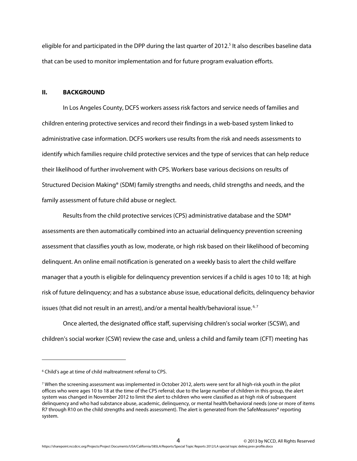eligible for and participated in the DPP during the last quarter of 2012.<sup>5</sup> It also describes baseline data that can be used to monitor implementation and for future program evaluation efforts.

#### **II. BACKGROUND**

 In Los Angeles County, DCFS workers assess risk factors and service needs of families and children entering protective services and record their findings in a web-based system linked to administrative case information. DCFS workers use results from the risk and needs assessments to identify which families require child protective services and the type of services that can help reduce their likelihood of further involvement with CPS. Workers base various decisions on results of Structured Decision Making® (SDM) family strengths and needs, child strengths and needs, and the family assessment of future child abuse or neglect.

 Results from the child protective services (CPS) administrative database and the SDM® assessments are then automatically combined into an actuarial delinquency prevention screening assessment that classifies youth as low, moderate, or high risk based on their likelihood of becoming delinquent. An online email notification is generated on a weekly basis to alert the child welfare manager that a youth is eligible for delinquency prevention services if a child is ages 10 to 18; at high risk of future delinquency; and has a substance abuse issue, educational deficits, delinquency behavior issues (that did not result in an arrest), and/or a mental health/behavioral issue.  $6,7$ 

 Once alerted, the designated office staff, supervising children's social worker (SCSW), and children's social worker (CSW) review the case and, unless a child and family team (CFT) meeting has

<sup>&</sup>lt;sup>6</sup> Child's age at time of child maltreatment referral to CPS.

 $^7$  When the screening assessment was implemented in October 2012, alerts were sent for all high-risk youth in the pilot offices who were ages 10 to 18 at the time of the CPS referral; due to the large number of children in this group, the alert system was changed in November 2012 to limit the alert to children who were classified as at high risk of subsequent delinquency and who had substance abuse, academic, delinquency, or mental health/behavioral needs (one or more of items R7 through R10 on the child strengths and needs assessment). The alert is generated from the SafeMeasures® reporting system.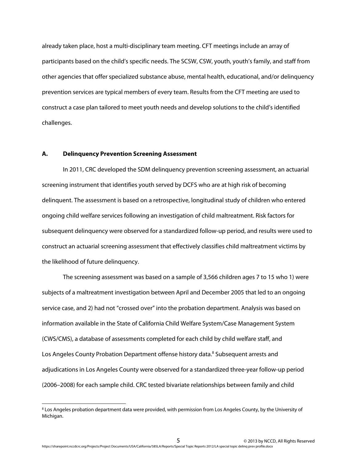already taken place, host a multi-disciplinary team meeting. CFT meetings include an array of participants based on the child's specific needs. The SCSW, CSW, youth, youth's family, and staff from other agencies that offer specialized substance abuse, mental health, educational, and/or delinquency prevention services are typical members of every team. Results from the CFT meeting are used to construct a case plan tailored to meet youth needs and develop solutions to the child's identified challenges.

#### **A. Delinquency Prevention Screening Assessment**

 $\overline{\phantom{a}}$ 

In 2011, CRC developed the SDM delinquency prevention screening assessment, an actuarial screening instrument that identifies youth served by DCFS who are at high risk of becoming delinquent. The assessment is based on a retrospective, longitudinal study of children who entered ongoing child welfare services following an investigation of child maltreatment. Risk factors for subsequent delinquency were observed for a standardized follow-up period, and results were used to construct an actuarial screening assessment that effectively classifies child maltreatment victims by the likelihood of future delinquency.

The screening assessment was based on a sample of 3,566 children ages 7 to 15 who 1) were subjects of a maltreatment investigation between April and December 2005 that led to an ongoing service case, and 2) had not "crossed over" into the probation department. Analysis was based on information available in the State of California Child Welfare System/Case Management System (CWS/CMS), a database of assessments completed for each child by child welfare staff, and Los Angeles County Probation Department offense history data.<sup>8</sup> Subsequent arrests and adjudications in Los Angeles County were observed for a standardized three-year follow-up period (2006–2008) for each sample child. CRC tested bivariate relationships between family and child

<sup>8</sup> Los Angeles probation department data were provided, with permission from Los Angeles County, by the University of Michigan.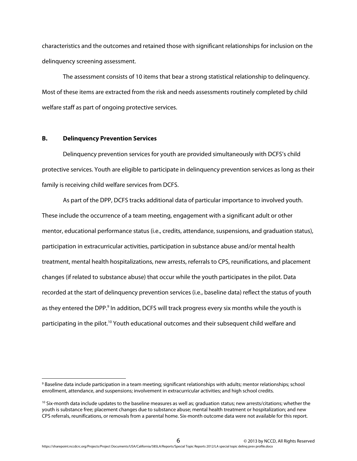characteristics and the outcomes and retained those with significant relationships for inclusion on the delinquency screening assessment.

The assessment consists of 10 items that bear a strong statistical relationship to delinquency. Most of these items are extracted from the risk and needs assessments routinely completed by child welfare staff as part of ongoing protective services.

#### **B. Delinquency Prevention Services**

 $\overline{\phantom{a}}$ 

Delinquency prevention services for youth are provided simultaneously with DCFS's child protective services. Youth are eligible to participate in delinquency prevention services as long as their family is receiving child welfare services from DCFS.

As part of the DPP, DCFS tracks additional data of particular importance to involved youth. These include the occurrence of a team meeting, engagement with a significant adult or other mentor, educational performance status (i.e., credits, attendance, suspensions, and graduation status), participation in extracurricular activities, participation in substance abuse and/or mental health treatment, mental health hospitalizations, new arrests, referrals to CPS, reunifications, and placement changes (if related to substance abuse) that occur while the youth participates in the pilot. Data recorded at the start of delinquency prevention services (i.e., baseline data) reflect the status of youth as they entered the DPP.<sup>9</sup> In addition, DCFS will track progress every six months while the youth is participating in the pilot.<sup>10</sup> Youth educational outcomes and their subsequent child welfare and

<sup>9</sup> Baseline data include participation in a team meeting; significant relationships with adults; mentor relationships; school enrollment, attendance, and suspensions; involvement in extracurricular activities; and high school credits.

 $10$  Six-month data include updates to the baseline measures as well as; graduation status; new arrests/citations; whether the youth is substance free; placement changes due to substance abuse; mental health treatment or hospitalization; and new CPS referrals, reunifications, or removals from a parental home. Six-month outcome data were not available for this report.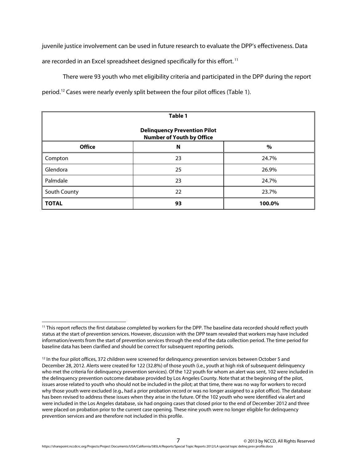juvenile justice involvement can be used in future research to evaluate the DPP's effectiveness. Data are recorded in an Excel spreadsheet designed specifically for this effort.<sup>11</sup>

There were 93 youth who met eligibility criteria and participated in the DPP during the report period.12 Cases were nearly evenly split between the four pilot offices (Table 1).

| Table 1                                                                 |    |        |  |  |  |
|-------------------------------------------------------------------------|----|--------|--|--|--|
| <b>Delinquency Prevention Pilot</b><br><b>Number of Youth by Office</b> |    |        |  |  |  |
| <b>Office</b>                                                           | N  | $\%$   |  |  |  |
| Compton                                                                 | 23 | 24.7%  |  |  |  |
| Glendora                                                                | 25 | 26.9%  |  |  |  |
| Palmdale                                                                | 23 | 24.7%  |  |  |  |
| South County                                                            | 22 | 23.7%  |  |  |  |
| <b>TOTAL</b>                                                            | 93 | 100.0% |  |  |  |

<sup>11</sup> This report reflects the first database completed by workers for the DPP. The baseline data recorded should reflect youth status at the start of prevention services. However, discussion with the DPP team revealed that workers may have included information/events from the start of prevention services through the end of the data collection period. The time period for baseline data has been clarified and should be correct for subsequent reporting periods.

 $12$  In the four pilot offices, 372 children were screened for delinguency prevention services between October 5 and December 28, 2012. Alerts were created for 122 (32.8%) of those youth (i.e., youth at high risk of subsequent delinquency who met the criteria for delinquency prevention services). Of the 122 youth for whom an alert was sent, 102 were included in the delinquency prevention outcome database provided by Los Angeles County. Note that at the beginning of the pilot, issues arose related to youth who should not be included in the pilot; at that time, there was no way for workers to record why those youth were excluded (e.g., had a prior probation record or was no longer assigned to a pilot office). The database has been revised to address these issues when they arise in the future. Of the 102 youth who were identified via alert and were included in the Los Angeles database, six had ongoing cases that closed prior to the end of December 2012 and three were placed on probation prior to the current case opening. These nine youth were no longer eligible for delinquency prevention services and are therefore not included in this profile.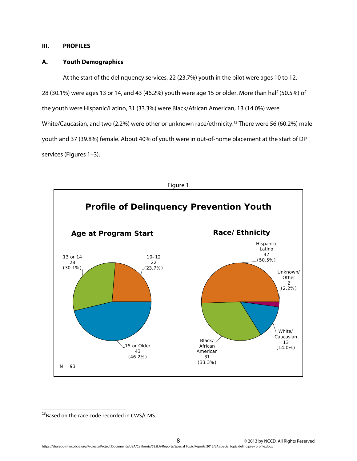# **III. PROFILES**

## **A. Youth Demographics**

At the start of the delinquency services, 22 (23.7%) youth in the pilot were ages 10 to 12, 28 (30.1%) were ages 13 or 14, and 43 (46.2%) youth were age 15 or older. More than half (50.5%) of the youth were Hispanic/Latino, 31 (33.3%) were Black/African American, 13 (14.0%) were White/Caucasian, and two (2.2%) were other or unknown race/ethnicity.<sup>13</sup> There were 56 (60.2%) male youth and 37 (39.8%) female. About 40% of youth were in out-of-home placement at the start of DP services (Figures 1–3).



<sup>&</sup>lt;sup>13</sup>Based on the race code recorded in CWS/CMS.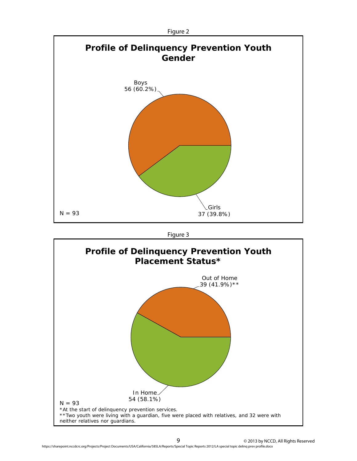

Figure 3

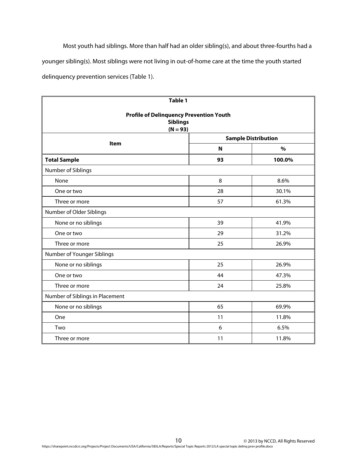Most youth had siblings. More than half had an older sibling(s), and about three-fourths had a younger sibling(s). Most siblings were not living in out-of-home care at the time the youth started delinquency prevention services (Table 1).

| Table 1                                                                         |    |                            |  |  |
|---------------------------------------------------------------------------------|----|----------------------------|--|--|
| <b>Profile of Delinquency Prevention Youth</b><br><b>Siblings</b><br>$(N = 93)$ |    |                            |  |  |
| Item                                                                            |    | <b>Sample Distribution</b> |  |  |
|                                                                                 | N  | $\frac{9}{6}$              |  |  |
| <b>Total Sample</b>                                                             | 93 | 100.0%                     |  |  |
| Number of Siblings                                                              |    |                            |  |  |
| None                                                                            | 8  | 8.6%                       |  |  |
| One or two                                                                      | 28 | 30.1%                      |  |  |
| Three or more                                                                   | 57 | 61.3%                      |  |  |
| Number of Older Siblings                                                        |    |                            |  |  |
| None or no siblings                                                             | 39 | 41.9%                      |  |  |
| One or two                                                                      | 29 | 31.2%                      |  |  |
| Three or more                                                                   | 25 | 26.9%                      |  |  |
| Number of Younger Siblings                                                      |    |                            |  |  |
| None or no siblings                                                             | 25 | 26.9%                      |  |  |
| One or two                                                                      | 44 | 47.3%                      |  |  |
| Three or more                                                                   | 24 | 25.8%                      |  |  |
| Number of Siblings in Placement                                                 |    |                            |  |  |
| None or no siblings                                                             | 65 | 69.9%                      |  |  |
| One                                                                             | 11 | 11.8%                      |  |  |
| Two                                                                             | 6  | 6.5%                       |  |  |
| Three or more                                                                   | 11 | 11.8%                      |  |  |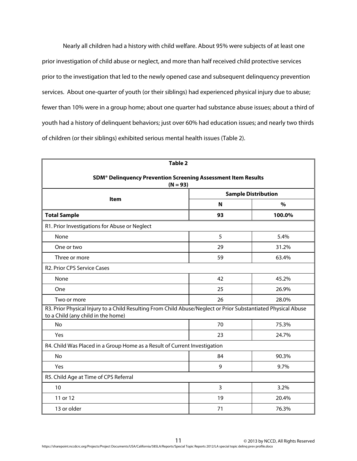Nearly all children had a history with child welfare. About 95% were subjects of at least one prior investigation of child abuse or neglect, and more than half received child protective services prior to the investigation that led to the newly opened case and subsequent delinquency prevention services. About one-quarter of youth (or their siblings) had experienced physical injury due to abuse; fewer than 10% were in a group home; about one quarter had substance abuse issues; about a third of youth had a history of delinquent behaviors; just over 60% had education issues; and nearly two thirds of children (or their siblings) exhibited serious mental health issues (Table 2).

| Table 2                                                                                                                                             |    |                            |  |  |
|-----------------------------------------------------------------------------------------------------------------------------------------------------|----|----------------------------|--|--|
| SDM <sup>®</sup> Delinquency Prevention Screening Assessment Item Results<br>$(N = 93)$                                                             |    |                            |  |  |
|                                                                                                                                                     |    | <b>Sample Distribution</b> |  |  |
| <b>Item</b>                                                                                                                                         | N  | $\frac{9}{0}$              |  |  |
| <b>Total Sample</b>                                                                                                                                 | 93 | 100.0%                     |  |  |
| R1. Prior Investigations for Abuse or Neglect                                                                                                       |    |                            |  |  |
| None                                                                                                                                                | 5  | 5.4%                       |  |  |
| One or two                                                                                                                                          | 29 | 31.2%                      |  |  |
| Three or more                                                                                                                                       | 59 | 63.4%                      |  |  |
| <b>R2. Prior CPS Service Cases</b>                                                                                                                  |    |                            |  |  |
| None                                                                                                                                                | 42 | 45.2%                      |  |  |
| One                                                                                                                                                 | 25 | 26.9%                      |  |  |
| Two or more                                                                                                                                         | 26 | 28.0%                      |  |  |
| R3. Prior Physical Injury to a Child Resulting From Child Abuse/Neglect or Prior Substantiated Physical Abuse<br>to a Child (any child in the home) |    |                            |  |  |
| No                                                                                                                                                  | 70 | 75.3%                      |  |  |
| Yes                                                                                                                                                 | 23 | 24.7%                      |  |  |
| R4. Child Was Placed in a Group Home as a Result of Current Investigation                                                                           |    |                            |  |  |
| <b>No</b>                                                                                                                                           | 84 | 90.3%                      |  |  |
| Yes                                                                                                                                                 | 9  | 9.7%                       |  |  |
| R5. Child Age at Time of CPS Referral                                                                                                               |    |                            |  |  |
| 10                                                                                                                                                  | 3  | 3.2%                       |  |  |
| 11 or 12                                                                                                                                            | 19 | 20.4%                      |  |  |
| 13 or older                                                                                                                                         | 71 | 76.3%                      |  |  |

 11 © 2013 by NCCD, All Rights Reserved https://sharepoint.nccdcrc.org/Projects/Project Documents/USA/California/585LA/Reports/Special Topic Reports 2012/LA special topic delinq prev profile.docx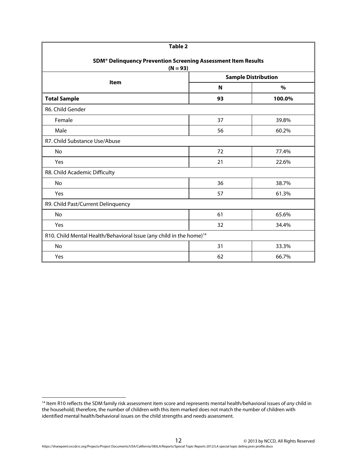| Table 2                                                                                 |             |                            |  |  |  |
|-----------------------------------------------------------------------------------------|-------------|----------------------------|--|--|--|
| SDM <sup>®</sup> Delinquency Prevention Screening Assessment Item Results<br>$(N = 93)$ |             |                            |  |  |  |
| <b>Item</b>                                                                             |             | <b>Sample Distribution</b> |  |  |  |
|                                                                                         | $\mathbf N$ | $\%$                       |  |  |  |
| <b>Total Sample</b>                                                                     | 93          | 100.0%                     |  |  |  |
| R6. Child Gender                                                                        |             |                            |  |  |  |
| Female                                                                                  | 37          | 39.8%                      |  |  |  |
| Male                                                                                    | 56          | 60.2%                      |  |  |  |
| R7. Child Substance Use/Abuse                                                           |             |                            |  |  |  |
| No                                                                                      | 72          | 77.4%                      |  |  |  |
| Yes                                                                                     | 21          | 22.6%                      |  |  |  |
| R8. Child Academic Difficulty                                                           |             |                            |  |  |  |
| No                                                                                      | 36          | 38.7%                      |  |  |  |
| Yes                                                                                     | 57          | 61.3%                      |  |  |  |
| R9. Child Past/Current Delinquency                                                      |             |                            |  |  |  |
| No                                                                                      | 61          | 65.6%                      |  |  |  |
| Yes                                                                                     | 32          | 34.4%                      |  |  |  |
| R10. Child Mental Health/Behavioral Issue (any child in the home) <sup>14</sup>         |             |                            |  |  |  |
| <b>No</b>                                                                               | 31          | 33.3%                      |  |  |  |
| Yes                                                                                     | 62          | 66.7%                      |  |  |  |

<sup>&</sup>lt;sup>14</sup> Item R10 reflects the SDM family risk assessment item score and represents mental health/behavioral issues of any child in the household; therefore, the number of children with this item marked does not match the number of children with identified mental health/behavioral issues on the child strengths and needs assessment.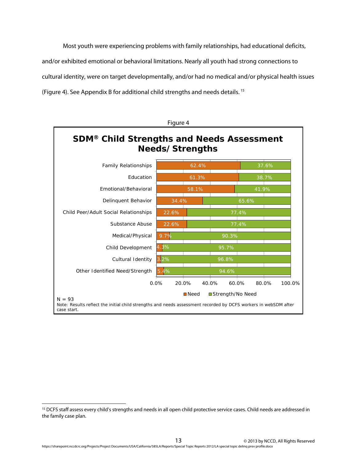Most youth were experiencing problems with family relationships, had educational deficits, and/or exhibited emotional or behavioral limitations. Nearly all youth had strong connections to cultural identity, were on target developmentally, and/or had no medical and/or physical health issues (Figure 4). See Appendix B for additional child strengths and needs details. 15



<sup>&</sup>lt;sup>15</sup> DCFS staff assess every child's strengths and needs in all open child protective service cases. Child needs are addressed in the family case plan.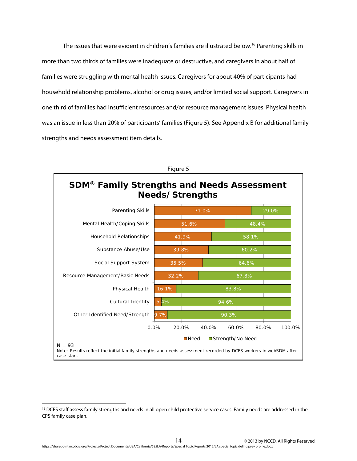The issues that were evident in children's families are illustrated below.<sup>16</sup> Parenting skills in more than two thirds of families were inadequate or destructive, and caregivers in about half of families were struggling with mental health issues. Caregivers for about 40% of participants had household relationship problems, alcohol or drug issues, and/or limited social support. Caregivers in one third of families had insufficient resources and/or resource management issues. Physical health was an issue in less than 20% of participants' families (Figure 5). See Appendix B for additional family strengths and needs assessment item details.



<sup>&</sup>lt;sup>16</sup> DCFS staff assess family strengths and needs in all open child protective service cases. Family needs are addressed in the CPS family case plan.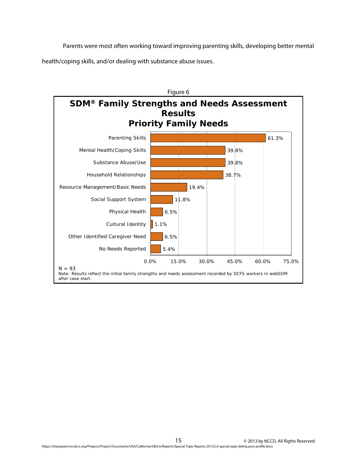Parents were most often working toward improving parenting skills, developing better mental health/coping skills, and/or dealing with substance abuse issues.

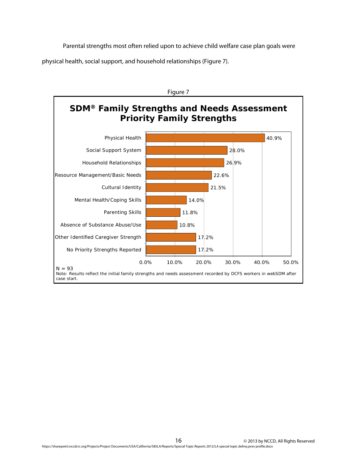Parental strengths most often relied upon to achieve child welfare case plan goals were physical health, social support, and household relationships (Figure 7).

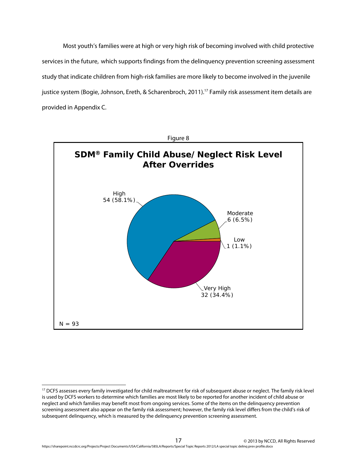Most youth's families were at high or very high risk of becoming involved with child protective services in the future, which supports findings from the delinquency prevention screening assessment study that indicate children from high-risk families are more likely to become involved in the juvenile justice system (Bogie, Johnson, Ereth, & Scharenbroch, 2011).<sup>17</sup> Family risk assessment item details are provided in Appendix C.



 $\overline{a}$ 

<sup>&</sup>lt;sup>17</sup> DCFS assesses every family investigated for child maltreatment for risk of subsequent abuse or neglect. The family risk level is used by DCFS workers to determine which families are most likely to be reported for another incident of child abuse or neglect and which families may benefit most from ongoing services. Some of the items on the delinquency prevention screening assessment also appear on the family risk assessment; however, the family risk level differs from the child's risk of subsequent delinquency, which is measured by the delinquency prevention screening assessment.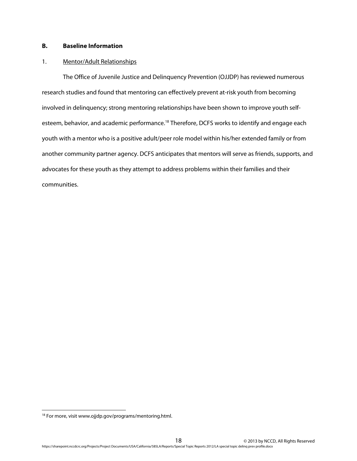# **B. Baseline Information**

#### 1. Mentor/Adult Relationships

The Office of Juvenile Justice and Delinquency Prevention (OJJDP) has reviewed numerous research studies and found that mentoring can effectively prevent at-risk youth from becoming involved in delinquency; strong mentoring relationships have been shown to improve youth selfesteem, behavior, and academic performance.<sup>18</sup> Therefore, DCFS works to identify and engage each youth with a mentor who is a positive adult/peer role model within his/her extended family or from another community partner agency. DCFS anticipates that mentors will serve as friends, supports, and advocates for these youth as they attempt to address problems within their families and their communities.

<sup>&</sup>lt;sup>18</sup> For more, visit www.ojjdp.gov/programs/mentoring.html.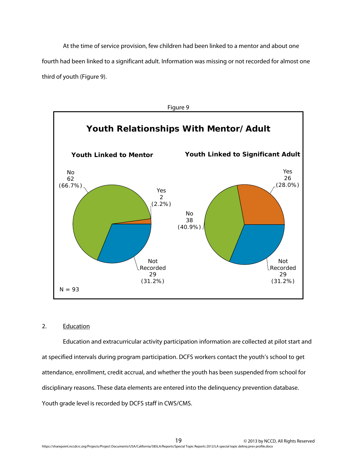At the time of service provision, few children had been linked to a mentor and about one fourth had been linked to a significant adult. Information was missing or not recorded for almost one third of youth (Figure 9).



# 2. Education

Education and extracurricular activity participation information are collected at pilot start and at specified intervals during program participation. DCFS workers contact the youth's school to get attendance, enrollment, credit accrual, and whether the youth has been suspended from school for disciplinary reasons. These data elements are entered into the delinquency prevention database. Youth grade level is recorded by DCFS staff in CWS/CMS.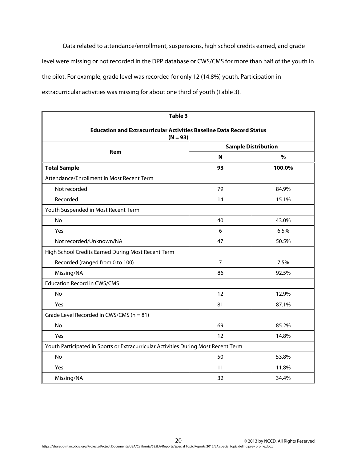Data related to attendance/enrollment, suspensions, high school credits earned, and grade level were missing or not recorded in the DPP database or CWS/CMS for more than half of the youth in the pilot. For example, grade level was recorded for only 12 (14.8%) youth. Participation in extracurricular activities was missing for about one third of youth (Table 3).

| Table 3                                                                            |                            |               |  |  |  |
|------------------------------------------------------------------------------------|----------------------------|---------------|--|--|--|
| <b>Education and Extracurricular Activities Baseline Data Record Status</b>        |                            |               |  |  |  |
| $(N = 93)$                                                                         |                            |               |  |  |  |
| Item                                                                               | <b>Sample Distribution</b> |               |  |  |  |
|                                                                                    | N                          | $\frac{0}{0}$ |  |  |  |
| <b>Total Sample</b>                                                                | 93                         | 100.0%        |  |  |  |
| Attendance/Enrollment In Most Recent Term                                          |                            |               |  |  |  |
| Not recorded                                                                       | 79                         | 84.9%         |  |  |  |
| Recorded                                                                           | 14                         | 15.1%         |  |  |  |
| Youth Suspended in Most Recent Term                                                |                            |               |  |  |  |
| No                                                                                 | 40                         | 43.0%         |  |  |  |
| Yes                                                                                | 6                          | 6.5%          |  |  |  |
| Not recorded/Unknown/NA                                                            | 47                         | 50.5%         |  |  |  |
| High School Credits Earned During Most Recent Term                                 |                            |               |  |  |  |
| Recorded (ranged from 0 to 100)                                                    | $\overline{7}$             | 7.5%          |  |  |  |
| Missing/NA                                                                         | 86                         | 92.5%         |  |  |  |
| <b>Education Record in CWS/CMS</b>                                                 |                            |               |  |  |  |
| No                                                                                 | 12                         | 12.9%         |  |  |  |
| Yes                                                                                | 81                         | 87.1%         |  |  |  |
| Grade Level Recorded in CWS/CMS ( $n = 81$ )                                       |                            |               |  |  |  |
| No                                                                                 | 69                         | 85.2%         |  |  |  |
| Yes                                                                                | 12                         | 14.8%         |  |  |  |
| Youth Participated in Sports or Extracurricular Activities During Most Recent Term |                            |               |  |  |  |
| No                                                                                 | 50                         | 53.8%         |  |  |  |
| Yes                                                                                | 11                         | 11.8%         |  |  |  |
| Missing/NA                                                                         | 32                         | 34.4%         |  |  |  |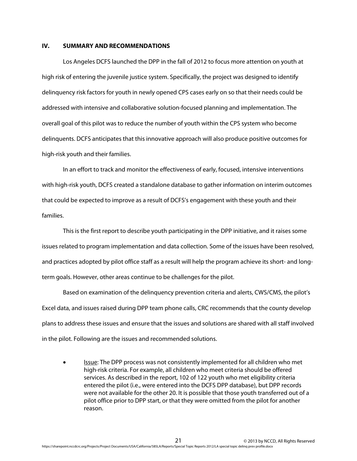#### **IV. SUMMARY AND RECOMMENDATIONS**

Los Angeles DCFS launched the DPP in the fall of 2012 to focus more attention on youth at high risk of entering the juvenile justice system. Specifically, the project was designed to identify delinquency risk factors for youth in newly opened CPS cases early on so that their needs could be addressed with intensive and collaborative solution-focused planning and implementation. The overall goal of this pilot was to reduce the number of youth within the CPS system who become delinquents. DCFS anticipates that this innovative approach will also produce positive outcomes for high-risk youth and their families.

In an effort to track and monitor the effectiveness of early, focused, intensive interventions with high-risk youth, DCFS created a standalone database to gather information on interim outcomes that could be expected to improve as a result of DCFS's engagement with these youth and their families.

This is the first report to describe youth participating in the DPP initiative, and it raises some issues related to program implementation and data collection. Some of the issues have been resolved, and practices adopted by pilot office staff as a result will help the program achieve its short- and longterm goals. However, other areas continue to be challenges for the pilot.

Based on examination of the delinquency prevention criteria and alerts, CWS/CMS, the pilot's Excel data, and issues raised during DPP team phone calls, CRC recommends that the county develop plans to address these issues and ensure that the issues and solutions are shared with all staff involved in the pilot. Following are the issues and recommended solutions.

**ISSUE:** The DPP process was not consistently implemented for all children who met high-risk criteria. For example, all children who meet criteria should be offered services. As described in the report, 102 of 122 youth who met eligibility criteria entered the pilot (i.e., were entered into the DCFS DPP database), but DPP records were not available for the other 20. It is possible that those youth transferred out of a pilot office prior to DPP start, or that they were omitted from the pilot for another reason.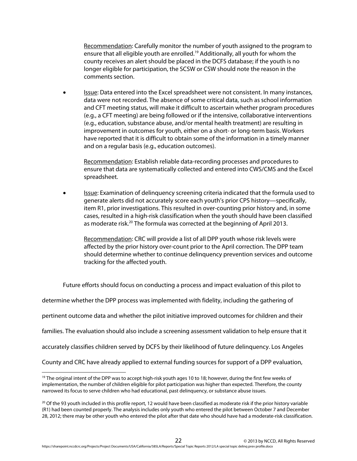Recommendation: Carefully monitor the number of youth assigned to the program to ensure that all eligible youth are enrolled.<sup>19</sup> Additionally, all youth for whom the county receives an alert should be placed in the DCFS database; if the youth is no longer eligible for participation, the SCSW or CSW should note the reason in the comments section.

**Issue:** Data entered into the Excel spreadsheet were not consistent. In many instances, data were not recorded. The absence of some critical data, such as school information and CFT meeting status, will make it difficult to ascertain whether program procedures (e.g., a CFT meeting) are being followed or if the intensive, collaborative interventions (e.g., education, substance abuse, and/or mental health treatment) are resulting in improvement in outcomes for youth, either on a short- or long-term basis. Workers have reported that it is difficult to obtain some of the information in a timely manner and on a regular basis (e.g., education outcomes).

Recommendation: Establish reliable data-recording processes and procedures to ensure that data are systematically collected and entered into CWS/CMS and the Excel spreadsheet.

 Issue: Examination of delinquency screening criteria indicated that the formula used to generate alerts did not accurately score each youth's prior CPS history—specifically, item R1, prior investigations. This resulted in over-counting prior history and, in some cases, resulted in a high-risk classification when the youth should have been classified as moderate risk.<sup>20</sup> The formula was corrected at the beginning of April 2013.

Recommendation: CRC will provide a list of all DPP youth whose risk levels were affected by the prior history over-count prior to the April correction. The DPP team should determine whether to continue delinquency prevention services and outcome tracking for the affected youth.

Future efforts should focus on conducting a process and impact evaluation of this pilot to determine whether the DPP process was implemented with fidelity, including the gathering of pertinent outcome data and whether the pilot initiative improved outcomes for children and their families. The evaluation should also include a screening assessment validation to help ensure that it accurately classifies children served by DCFS by their likelihood of future delinquency. Los Angeles County and CRC have already applied to external funding sources for support of a DPP evaluation,

<sup>&</sup>lt;sup>19</sup> The original intent of the DPP was to accept high-risk youth ages 10 to 18; however, during the first few weeks of implementation, the number of children eligible for pilot participation was higher than expected. Therefore, the county narrowed its focus to serve children who had educational, past delinquency, or substance abuse issues.

<sup>&</sup>lt;sup>20</sup> Of the 93 youth included in this profile report, 12 would have been classified as moderate risk if the prior history variable (R1) had been counted properly. The analysis includes only youth who entered the pilot between October 7 and December 28, 2012; there may be other youth who entered the pilot after that date who should have had a moderate-risk classification.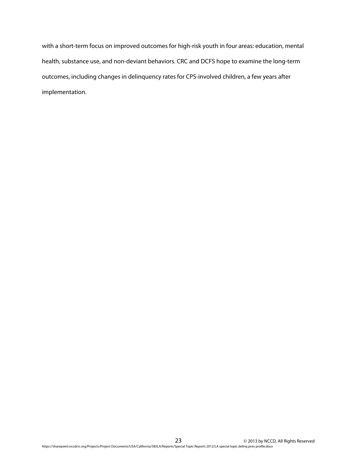with a short-term focus on improved outcomes for high-risk youth in four areas: education, mental health, substance use, and non-deviant behaviors. CRC and DCFS hope to examine the long-term outcomes, including changes in delinquency rates for CPS-involved children, a few years after implementation.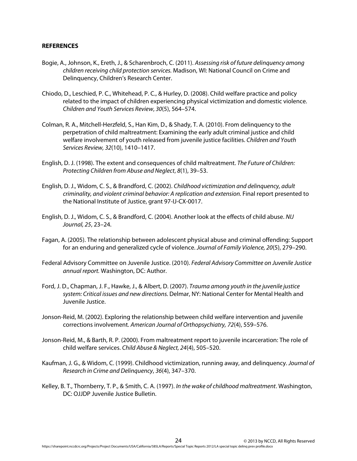#### **REFERENCES**

- Bogie, A., Johnson, K., Ereth, J., & Scharenbroch, C. (2011). Assessing risk of future delinquency among children receiving child protection services. Madison, WI: National Council on Crime and Delinquency, Children's Research Center.
- Chiodo, D., Leschied, P. C., Whitehead, P. C., & Hurley, D. (2008). Child welfare practice and policy related to the impact of children experiencing physical victimization and domestic violence. Children and Youth Services Review, 30(5), 564–574.
- Colman, R. A., Mitchell-Herzfeld, S., Han Kim, D., & Shady, T. A. (2010). From delinquency to the perpetration of child maltreatment: Examining the early adult criminal justice and child welfare involvement of youth released from juvenile justice facilities. Children and Youth Services Review, 32(10), 1410–1417.
- English, D. J. (1998). The extent and consequences of child maltreatment. The Future of Children: Protecting Children from Abuse and Neglect, 8(1), 39–53.
- English, D. J., Widom, C. S., & Brandford, C. (2002). Childhood victimization and delinquency, adult criminality, and violent criminal behavior: A replication and extension. Final report presented to the National Institute of Justice, grant 97-IJ-CX-0017.
- English, D. J., Widom, C. S., & Brandford, C. (2004). Another look at the effects of child abuse. NIJ Journal, 25, 23–24.
- Fagan, A. (2005). The relationship between adolescent physical abuse and criminal offending: Support for an enduring and generalized cycle of violence. Journal of Family Violence, 20(5), 279–290.
- Federal Advisory Committee on Juvenile Justice. (2010). Federal Advisory Committee on Juvenile Justice annual report. Washington, DC: Author.
- Ford, J. D., Chapman, J. F., Hawke, J., & Albert, D. (2007). Trauma among youth in the juvenile justice system: Critical issues and new directions. Delmar, NY: National Center for Mental Health and Juvenile Justice.
- Jonson-Reid, M. (2002). Exploring the relationship between child welfare intervention and juvenile corrections involvement. American Journal of Orthopsychiatry, 72(4), 559–576.
- Jonson-Reid, M., & Barth, R. P. (2000). From maltreatment report to juvenile incarceration: The role of child welfare services. Child Abuse & Neglect, 24(4), 505–520.
- Kaufman, J. G., & Widom, C. (1999). Childhood victimization, running away, and delinquency. Journal of Research in Crime and Delinquency, 36(4), 347–370.
- Kelley, B. T., Thornberry, T. P., & Smith, C. A. (1997). In the wake of childhood maltreatment. Washington, DC: OJJDP Juvenile Justice Bulletin.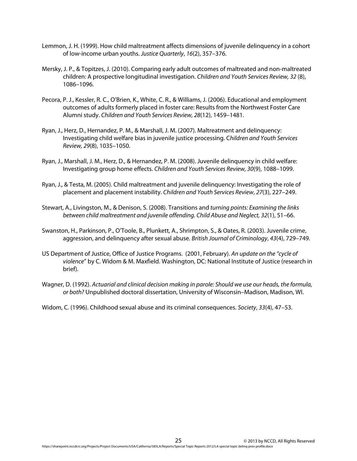- Lemmon, J. H. (1999). How child maltreatment affects dimensions of juvenile delinquency in a cohort of low-income urban youths. Justice Quarterly, 16(2), 357–376.
- Mersky, J. P., & Topitzes, J. (2010). Comparing early adult outcomes of maltreated and non-maltreated children: A prospective longitudinal investigation. Children and Youth Services Review, 32 (8), 1086–1096.
- Pecora, P. J., Kessler, R. C., O'Brien, K., White, C. R., & Williams, J. (2006). Educational and employment outcomes of adults formerly placed in foster care: Results from the Northwest Foster Care Alumni study. Children and Youth Services Review, 28(12), 1459–1481.
- Ryan, J., Herz, D., Hernandez, P. M., & Marshall, J. M. (2007). Maltreatment and delinquency: Investigating child welfare bias in juvenile justice processing. Children and Youth Services Review, 29(8), 1035–1050.
- Ryan, J., Marshall, J. M., Herz, D., & Hernandez, P. M. (2008). Juvenile delinquency in child welfare: Investigating group home effects. Children and Youth Services Review, 30(9), 1088–1099.
- Ryan, J., & Testa, M. (2005). Child maltreatment and juvenile delinquency: Investigating the role of placement and placement instability. Children and Youth Services Review, 27(3), 227–249.
- Stewart, A., Livingston, M., & Denison, S. (2008). Transitions and turning points: Examining the links between child maltreatment and juvenile offending. Child Abuse and Neglect, 32(1), 51–66.
- Swanston, H., Parkinson, P., O'Toole, B., Plunkett, A., Shrimpton, S., & Oates, R. (2003). Juvenile crime, aggression, and delinquency after sexual abuse. British Journal of Criminology, 43(4), 729–749.
- US Department of Justice, Office of Justice Programs. (2001, February). An update on the "cycle of violence" by C. Widom & M. Maxfield. Washington, DC: National Institute of Justice (research in brief).
- Wagner, D. (1992). Actuarial and clinical decision making in parole: Should we use our heads, the formula, or both? Unpublished doctoral dissertation, University of Wisconsin–Madison, Madison, WI.

Widom, C. (1996). Childhood sexual abuse and its criminal consequences. Society, 33(4), 47-53.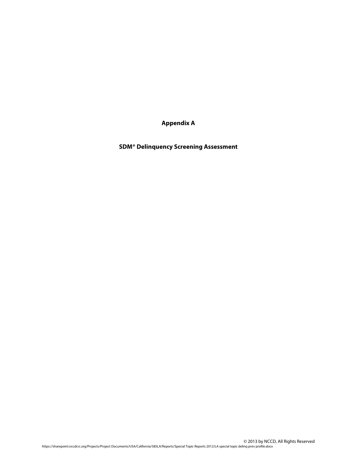**Appendix A** 

**SDM® Delinquency Screening Assessment**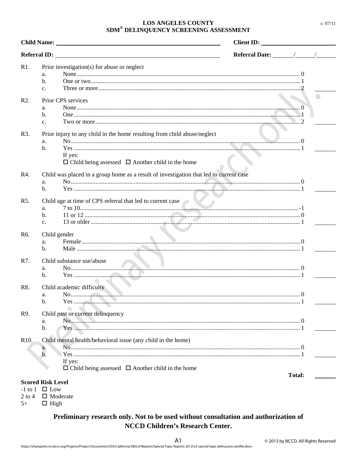# **LOS ANGELES COUNTY**  $\text{SDM}^{\circledast}$  DELINQUENCY SCREENING ASSESSMENT

| <b>Child Name:</b> The Child Name: The Child Name: The Child Name: The Child Name: The Child Name: The Child Name: The Child Name: The Child Name: The Child Name: The Child Name: The Child Name: The Child Name: The Child Name: |                | Client ID:                                                                             |                                       |               |  |
|------------------------------------------------------------------------------------------------------------------------------------------------------------------------------------------------------------------------------------|----------------|----------------------------------------------------------------------------------------|---------------------------------------|---------------|--|
| <b>Referral ID:</b>                                                                                                                                                                                                                |                |                                                                                        | Referral Date: $\sqrt{\phantom{a^2}}$ |               |  |
| R1.                                                                                                                                                                                                                                |                | Prior investigation(s) for abuse or neglect                                            |                                       |               |  |
|                                                                                                                                                                                                                                    | a.             |                                                                                        |                                       |               |  |
|                                                                                                                                                                                                                                    | b.             |                                                                                        |                                       |               |  |
|                                                                                                                                                                                                                                    | c.             |                                                                                        |                                       |               |  |
| $R2$ .                                                                                                                                                                                                                             |                | Prior CPS services                                                                     |                                       |               |  |
|                                                                                                                                                                                                                                    | a.             |                                                                                        |                                       |               |  |
|                                                                                                                                                                                                                                    | b.             |                                                                                        |                                       |               |  |
|                                                                                                                                                                                                                                    | c.             |                                                                                        |                                       |               |  |
| R3.                                                                                                                                                                                                                                |                |                                                                                        |                                       |               |  |
|                                                                                                                                                                                                                                    |                | Prior injury to any child in the home resulting from child abuse/neglect               |                                       |               |  |
|                                                                                                                                                                                                                                    | a.<br>b.       |                                                                                        |                                       |               |  |
|                                                                                                                                                                                                                                    |                | If yes:                                                                                |                                       |               |  |
|                                                                                                                                                                                                                                    |                | $\Box$ Child being assessed $\Box$ Another child in the home                           |                                       |               |  |
|                                                                                                                                                                                                                                    |                |                                                                                        |                                       |               |  |
| R4.                                                                                                                                                                                                                                |                | Child was placed in a group home as a result of investigation that led to current case |                                       |               |  |
|                                                                                                                                                                                                                                    | a.             |                                                                                        |                                       |               |  |
|                                                                                                                                                                                                                                    | b.             |                                                                                        |                                       |               |  |
| R <sub>5</sub> .                                                                                                                                                                                                                   |                | Child age at time of CPS referral that led to current case                             |                                       |               |  |
|                                                                                                                                                                                                                                    | a.             |                                                                                        |                                       |               |  |
|                                                                                                                                                                                                                                    | $\mathbf{b}$ . |                                                                                        |                                       |               |  |
|                                                                                                                                                                                                                                    | $\mathbf{c}$ . |                                                                                        |                                       |               |  |
| R <sub>6</sub> .                                                                                                                                                                                                                   |                | Child gender                                                                           |                                       |               |  |
|                                                                                                                                                                                                                                    | a.             |                                                                                        |                                       |               |  |
|                                                                                                                                                                                                                                    | $\mathbf{b}$ . |                                                                                        |                                       |               |  |
| R7.                                                                                                                                                                                                                                |                | Child substance use/abuse                                                              |                                       |               |  |
|                                                                                                                                                                                                                                    | a.             |                                                                                        |                                       |               |  |
|                                                                                                                                                                                                                                    | $\mathbf{b}$ . |                                                                                        |                                       |               |  |
|                                                                                                                                                                                                                                    |                |                                                                                        |                                       |               |  |
| R8.                                                                                                                                                                                                                                |                | Child academic difficulty                                                              |                                       |               |  |
|                                                                                                                                                                                                                                    | a.             |                                                                                        |                                       |               |  |
|                                                                                                                                                                                                                                    | b.             |                                                                                        |                                       |               |  |
| R9.                                                                                                                                                                                                                                |                | Child past or current delinquency                                                      |                                       |               |  |
|                                                                                                                                                                                                                                    | a.             |                                                                                        |                                       |               |  |
|                                                                                                                                                                                                                                    | b.             |                                                                                        |                                       |               |  |
| R <sub>10</sub> .                                                                                                                                                                                                                  |                | Child mental health/behavioral issue (any child in the home)                           |                                       |               |  |
|                                                                                                                                                                                                                                    | a.             |                                                                                        |                                       |               |  |
|                                                                                                                                                                                                                                    | $\mathbf b$ .  |                                                                                        |                                       |               |  |
|                                                                                                                                                                                                                                    |                | If yes:                                                                                |                                       |               |  |
|                                                                                                                                                                                                                                    |                | $\Box$ Child being assessed $\Box$ Another child in the home                           |                                       |               |  |
|                                                                                                                                                                                                                                    |                |                                                                                        |                                       | <b>Total:</b> |  |
| <b>Scored Risk Level</b>                                                                                                                                                                                                           |                |                                                                                        |                                       |               |  |

-1 to 1  $\Box$  Low

2 to 4  $\Box$  Moderate

 $5+$  $\Box$  High

# Preliminary research only. Not to be used without consultation and authorization of **NCCD Children's Research Center.**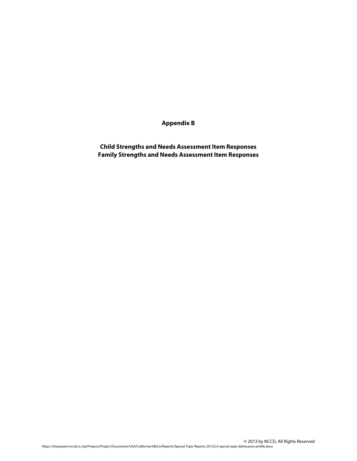**Appendix B** 

**Child Strengths and Needs Assessment Item Responses Family Strengths and Needs Assessment Item Responses**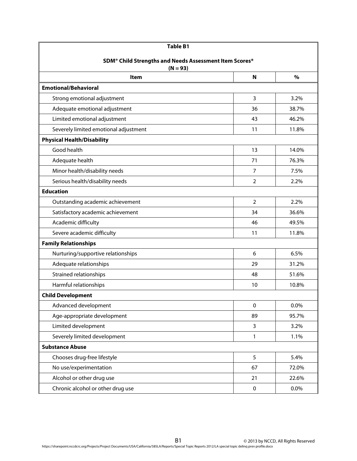| <b>Table B1</b>                                                                  |                |         |  |
|----------------------------------------------------------------------------------|----------------|---------|--|
| SDM <sup>®</sup> Child Strengths and Needs Assessment Item Scores*<br>$(N = 93)$ |                |         |  |
| <b>Item</b>                                                                      | N              | $\%$    |  |
| <b>Emotional/Behavioral</b>                                                      |                |         |  |
| Strong emotional adjustment                                                      | 3              | 3.2%    |  |
| Adequate emotional adjustment                                                    | 36             | 38.7%   |  |
| Limited emotional adjustment                                                     | 43             | 46.2%   |  |
| Severely limited emotional adjustment                                            | 11             | 11.8%   |  |
| <b>Physical Health/Disability</b>                                                |                |         |  |
| Good health                                                                      | 13             | 14.0%   |  |
| Adequate health                                                                  | 71             | 76.3%   |  |
| Minor health/disability needs                                                    | 7              | 7.5%    |  |
| Serious health/disability needs                                                  | $\overline{2}$ | 2.2%    |  |
| <b>Education</b>                                                                 |                |         |  |
| Outstanding academic achievement                                                 | $\overline{2}$ | 2.2%    |  |
| Satisfactory academic achievement                                                | 34             | 36.6%   |  |
| Academic difficulty                                                              | 46             | 49.5%   |  |
| Severe academic difficulty                                                       | 11             | 11.8%   |  |
| <b>Family Relationships</b>                                                      |                |         |  |
| Nurturing/supportive relationships                                               | 6              | 6.5%    |  |
| Adequate relationships                                                           | 29             | 31.2%   |  |
| Strained relationships                                                           | 48             | 51.6%   |  |
| Harmful relationships                                                            | 10             | 10.8%   |  |
| <b>Child Development</b>                                                         |                |         |  |
| Advanced development                                                             | 0              | 0.0%    |  |
| Age-appropriate development                                                      | 89             | 95.7%   |  |
| Limited development                                                              | 3              | 3.2%    |  |
| Severely limited development                                                     | 1              | 1.1%    |  |
| <b>Substance Abuse</b>                                                           |                |         |  |
| Chooses drug-free lifestyle                                                      | 5              | 5.4%    |  |
| No use/experimentation                                                           | 67             | 72.0%   |  |
| Alcohol or other drug use                                                        | 21             | 22.6%   |  |
| Chronic alcohol or other drug use                                                | 0              | $0.0\%$ |  |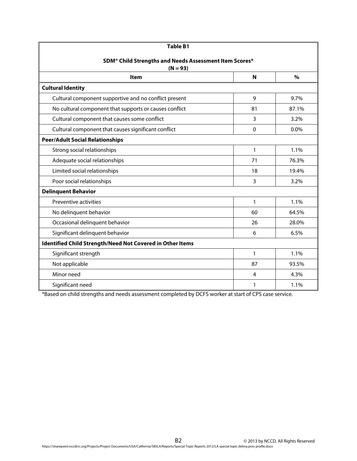| <b>Table B1</b>                                                                  |          |         |  |  |
|----------------------------------------------------------------------------------|----------|---------|--|--|
| SDM <sup>®</sup> Child Strengths and Needs Assessment Item Scores*<br>$(N = 93)$ |          |         |  |  |
| Item                                                                             | N        | $\%$    |  |  |
| <b>Cultural Identity</b>                                                         |          |         |  |  |
| Cultural component supportive and no conflict present                            | 9        | 9.7%    |  |  |
| No cultural component that supports or causes conflict                           | 81       | 87.1%   |  |  |
| Cultural component that causes some conflict                                     | 3        | 3.2%    |  |  |
| Cultural component that causes significant conflict                              | $\Omega$ | $0.0\%$ |  |  |
| <b>Peer/Adult Social Relationships</b>                                           |          |         |  |  |
| Strong social relationships                                                      | 1        | 1.1%    |  |  |
| Adequate social relationships                                                    | 71       | 76.3%   |  |  |
| Limited social relationships                                                     | 18       | 19.4%   |  |  |
| Poor social relationships                                                        | 3        | 3.2%    |  |  |
| <b>Delinquent Behavior</b>                                                       |          |         |  |  |
| Preventive activities                                                            | 1        | 1.1%    |  |  |
| No delinquent behavior                                                           | 60       | 64.5%   |  |  |
| Occasional delinquent behavior                                                   | 26       | 28.0%   |  |  |
| Significant delinquent behavior                                                  | 6        | 6.5%    |  |  |
| Identified Child Strength/Need Not Covered in Other Items                        |          |         |  |  |
| Significant strength                                                             | 1        | 1.1%    |  |  |
| Not applicable                                                                   | 87       | 93.5%   |  |  |
| Minor need                                                                       | 4        | 4.3%    |  |  |
| Significant need                                                                 | 1        | 1.1%    |  |  |

\*Based on child strengths and needs assessment completed by DCFS worker at start of CPS case service.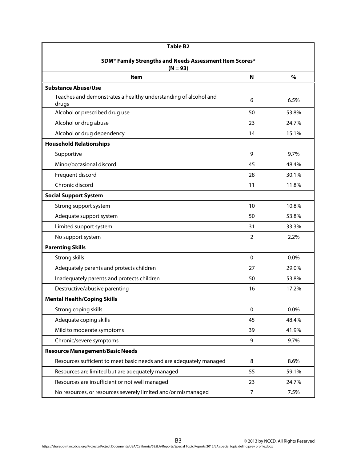| <b>Table B2</b>                                                          |                |       |  |
|--------------------------------------------------------------------------|----------------|-------|--|
| SDM <sup>®</sup> Family Strengths and Needs Assessment Item Scores*      |                |       |  |
| $(N = 93)$                                                               |                |       |  |
| <b>Item</b>                                                              | N              | $\%$  |  |
| <b>Substance Abuse/Use</b>                                               |                |       |  |
| Teaches and demonstrates a healthy understanding of alcohol and<br>drugs | 6              | 6.5%  |  |
| Alcohol or prescribed drug use                                           | 50             | 53.8% |  |
| Alcohol or drug abuse                                                    | 23             | 24.7% |  |
| Alcohol or drug dependency                                               | 14             | 15.1% |  |
| <b>Household Relationships</b>                                           |                |       |  |
| Supportive                                                               | 9              | 9.7%  |  |
| Minor/occasional discord                                                 | 45             | 48.4% |  |
| Frequent discord                                                         | 28             | 30.1% |  |
| Chronic discord                                                          | 11             | 11.8% |  |
| <b>Social Support System</b>                                             |                |       |  |
| Strong support system                                                    | 10             | 10.8% |  |
| Adequate support system                                                  | 50             | 53.8% |  |
| Limited support system                                                   | 31             | 33.3% |  |
| No support system                                                        | $\overline{2}$ | 2.2%  |  |
| <b>Parenting Skills</b>                                                  |                |       |  |
| Strong skills                                                            | $\mathbf{0}$   | 0.0%  |  |
| Adequately parents and protects children                                 | 27             | 29.0% |  |
| Inadequately parents and protects children                               | 50             | 53.8% |  |
| Destructive/abusive parenting                                            | 16             | 17.2% |  |
| <b>Mental Health/Coping Skills</b>                                       |                |       |  |
| Strong coping skills                                                     | 0              | 0.0%  |  |
| Adequate coping skills                                                   | 45             | 48.4% |  |
| Mild to moderate symptoms                                                | 39             | 41.9% |  |
| Chronic/severe symptoms                                                  | 9              | 9.7%  |  |
| <b>Resource Management/Basic Needs</b>                                   |                |       |  |
| Resources sufficient to meet basic needs and are adequately managed      | 8              | 8.6%  |  |
| Resources are limited but are adequately managed                         | 55             | 59.1% |  |
| Resources are insufficient or not well managed                           | 23             | 24.7% |  |
| No resources, or resources severely limited and/or mismanaged            | $\overline{7}$ | 7.5%  |  |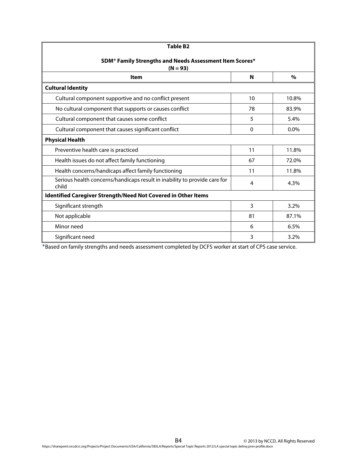| <b>Table B2</b>                                                                    |    |         |  |  |
|------------------------------------------------------------------------------------|----|---------|--|--|
| SDM <sup>®</sup> Family Strengths and Needs Assessment Item Scores*<br>$(N = 93)$  |    |         |  |  |
| <b>Item</b>                                                                        | N  | $\%$    |  |  |
| <b>Cultural Identity</b>                                                           |    |         |  |  |
| Cultural component supportive and no conflict present                              | 10 | 10.8%   |  |  |
| No cultural component that supports or causes conflict                             | 78 | 83.9%   |  |  |
| Cultural component that causes some conflict                                       | 5  | 5.4%    |  |  |
| Cultural component that causes significant conflict                                | 0  | $0.0\%$ |  |  |
| <b>Physical Health</b>                                                             |    |         |  |  |
| Preventive health care is practiced                                                | 11 | 11.8%   |  |  |
| Health issues do not affect family functioning                                     | 67 | 72.0%   |  |  |
| Health concerns/handicaps affect family functioning                                | 11 | 11.8%   |  |  |
| Serious health concerns/handicaps result in inability to provide care for<br>child | 4  | 4.3%    |  |  |
| Identified Caregiver Strength/Need Not Covered in Other Items                      |    |         |  |  |
| Significant strength                                                               | 3  | 3.2%    |  |  |
| Not applicable                                                                     | 81 | 87.1%   |  |  |
| Minor need                                                                         | 6  | 6.5%    |  |  |
| Significant need                                                                   | 3  | 3.2%    |  |  |

\*Based on family strengths and needs assessment completed by DCFS worker at start of CPS case service.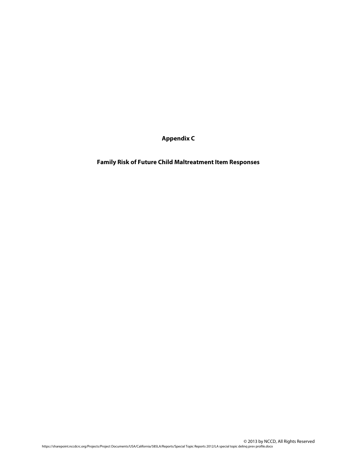**Appendix C** 

**Family Risk of Future Child Maltreatment Item Responses**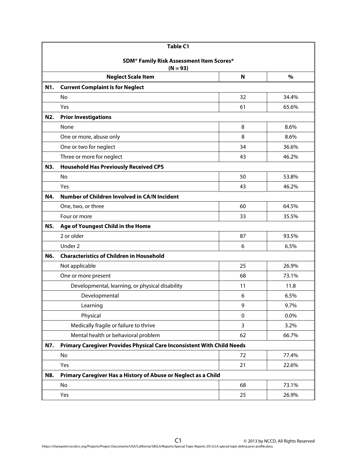| <b>Table C1</b> |                                                                        |           |       |  |  |  |
|-----------------|------------------------------------------------------------------------|-----------|-------|--|--|--|
|                 | <b>SDM<sup>®</sup> Family Risk Assessment Item Scores*</b>             |           |       |  |  |  |
|                 | $(N = 93)$                                                             |           |       |  |  |  |
|                 | <b>Neglect Scale Item</b>                                              | N         | $\%$  |  |  |  |
| N1.             | <b>Current Complaint Is for Neglect</b>                                |           |       |  |  |  |
|                 | <b>No</b>                                                              | 32        | 34.4% |  |  |  |
|                 | Yes                                                                    | 61        | 65.6% |  |  |  |
| N2.             | <b>Prior Investigations</b>                                            |           |       |  |  |  |
|                 | None                                                                   | 8         | 8.6%  |  |  |  |
|                 | One or more, abuse only                                                | 8         | 8.6%  |  |  |  |
|                 | One or two for neglect                                                 | 34        | 36.6% |  |  |  |
|                 | Three or more for neglect                                              | 43        | 46.2% |  |  |  |
| N3.             | <b>Household Has Previously Received CPS</b>                           |           |       |  |  |  |
|                 | No                                                                     | 50        | 53.8% |  |  |  |
|                 | Yes                                                                    | 43        | 46.2% |  |  |  |
| N4.             | Number of Children Involved in CA/N Incident                           |           |       |  |  |  |
|                 | One, two, or three                                                     | 60        | 64.5% |  |  |  |
|                 | Four or more                                                           | 33        | 35.5% |  |  |  |
| N5.             | Age of Youngest Child in the Home                                      |           |       |  |  |  |
|                 | 2 or older                                                             | 87        | 93.5% |  |  |  |
|                 | Under 2                                                                | 6         | 6.5%  |  |  |  |
| N6.             | <b>Characteristics of Children in Household</b>                        |           |       |  |  |  |
|                 | Not applicable                                                         | 25        | 26.9% |  |  |  |
|                 | One or more present                                                    | 68        | 73.1% |  |  |  |
|                 | Developmental, learning, or physical disability                        | 11        | 11.8  |  |  |  |
|                 | Developmental                                                          | 6         | 6.5%  |  |  |  |
|                 | Learning                                                               | 9         | 9.7%  |  |  |  |
|                 | Physical                                                               | $\pmb{0}$ | 0.0%  |  |  |  |
|                 | Medically fragile or failure to thrive                                 | 3         | 3.2%  |  |  |  |
|                 | Mental health or behavioral problem                                    | 62        | 66.7% |  |  |  |
| N7.             | Primary Caregiver Provides Physical Care Inconsistent With Child Needs |           |       |  |  |  |
|                 | No                                                                     | 72        | 77.4% |  |  |  |
|                 | Yes                                                                    | 21        | 22.6% |  |  |  |
| N8.             | Primary Caregiver Has a History of Abuse or Neglect as a Child         |           |       |  |  |  |
|                 | No                                                                     | 68        | 73.1% |  |  |  |
|                 | Yes                                                                    | 25        | 26.9% |  |  |  |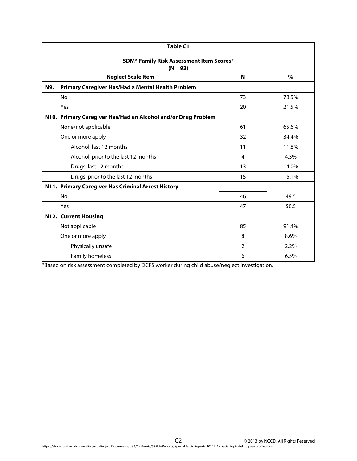| <b>Table C1</b>                                                    |                |       |  |  |  |
|--------------------------------------------------------------------|----------------|-------|--|--|--|
| SDM <sup>®</sup> Family Risk Assessment Item Scores*<br>$(N = 93)$ |                |       |  |  |  |
| <b>Neglect Scale Item</b>                                          | N              | $\%$  |  |  |  |
| Primary Caregiver Has/Had a Mental Health Problem<br>N9.           |                |       |  |  |  |
| No                                                                 | 73             | 78.5% |  |  |  |
| Yes                                                                | 20             | 21.5% |  |  |  |
| N10. Primary Caregiver Has/Had an Alcohol and/or Drug Problem      |                |       |  |  |  |
| None/not applicable                                                | 61             | 65.6% |  |  |  |
| One or more apply                                                  | 32             | 34.4% |  |  |  |
| Alcohol, last 12 months                                            | 11             | 11.8% |  |  |  |
| Alcohol, prior to the last 12 months                               | 4              | 4.3%  |  |  |  |
| Drugs, last 12 months                                              | 13             | 14.0% |  |  |  |
| Drugs, prior to the last 12 months                                 | 15             | 16.1% |  |  |  |
| N11. Primary Caregiver Has Criminal Arrest History                 |                |       |  |  |  |
| No                                                                 | 46             | 49.5  |  |  |  |
| Yes                                                                | 47             | 50.5  |  |  |  |
| N12. Current Housing                                               |                |       |  |  |  |
| Not applicable                                                     | 85             | 91.4% |  |  |  |
| One or more apply                                                  | 8              | 8.6%  |  |  |  |
| Physically unsafe                                                  | $\overline{2}$ | 2.2%  |  |  |  |
| <b>Family homeless</b>                                             | 6              | 6.5%  |  |  |  |

\*Based on risk assessment completed by DCFS worker during child abuse/neglect investigation.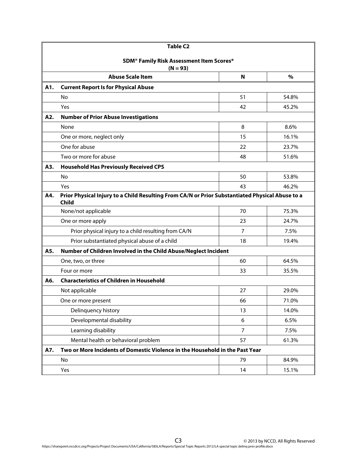| <b>Table C2</b>                                            |                                                                                                                 |                                                                              |       |  |  |
|------------------------------------------------------------|-----------------------------------------------------------------------------------------------------------------|------------------------------------------------------------------------------|-------|--|--|
| <b>SDM<sup>®</sup> Family Risk Assessment Item Scores*</b> |                                                                                                                 |                                                                              |       |  |  |
|                                                            | $(N = 93)$                                                                                                      |                                                                              |       |  |  |
|                                                            | <b>Abuse Scale Item</b>                                                                                         | N                                                                            | $\%$  |  |  |
| A1.                                                        | <b>Current Report Is for Physical Abuse</b>                                                                     |                                                                              |       |  |  |
|                                                            | No                                                                                                              | 51                                                                           | 54.8% |  |  |
|                                                            | Yes                                                                                                             | 42                                                                           | 45.2% |  |  |
| A2.                                                        | <b>Number of Prior Abuse Investigations</b>                                                                     |                                                                              |       |  |  |
|                                                            | None                                                                                                            | 8                                                                            | 8.6%  |  |  |
|                                                            | One or more, neglect only                                                                                       | 15                                                                           | 16.1% |  |  |
|                                                            | One for abuse                                                                                                   | 22                                                                           | 23.7% |  |  |
|                                                            | Two or more for abuse                                                                                           | 48                                                                           | 51.6% |  |  |
| A3.                                                        | <b>Household Has Previously Received CPS</b>                                                                    |                                                                              |       |  |  |
|                                                            | No                                                                                                              | 50                                                                           | 53.8% |  |  |
|                                                            | Yes                                                                                                             | 43                                                                           | 46.2% |  |  |
| A4.                                                        | Prior Physical Injury to a Child Resulting From CA/N or Prior Substantiated Physical Abuse to a<br><b>Child</b> |                                                                              |       |  |  |
|                                                            | None/not applicable                                                                                             | 70                                                                           | 75.3% |  |  |
|                                                            | One or more apply                                                                                               | 23                                                                           | 24.7% |  |  |
|                                                            | Prior physical injury to a child resulting from CA/N                                                            | $\overline{7}$                                                               | 7.5%  |  |  |
|                                                            | Prior substantiated physical abuse of a child                                                                   | 18                                                                           | 19.4% |  |  |
| A5.                                                        | Number of Children Involved in the Child Abuse/Neglect Incident                                                 |                                                                              |       |  |  |
|                                                            | One, two, or three                                                                                              | 60                                                                           | 64.5% |  |  |
|                                                            | Four or more                                                                                                    | 33                                                                           | 35.5% |  |  |
| A6.                                                        | <b>Characteristics of Children in Household</b>                                                                 |                                                                              |       |  |  |
|                                                            | Not applicable                                                                                                  | 27                                                                           | 29.0% |  |  |
|                                                            | One or more present                                                                                             | 66                                                                           | 71.0% |  |  |
|                                                            | Delinquency history                                                                                             | 13                                                                           | 14.0% |  |  |
|                                                            | Developmental disability                                                                                        | 6                                                                            | 6.5%  |  |  |
|                                                            | Learning disability                                                                                             | $\overline{7}$                                                               | 7.5%  |  |  |
|                                                            | Mental health or behavioral problem                                                                             | 57                                                                           | 61.3% |  |  |
| A7.                                                        |                                                                                                                 | Two or More Incidents of Domestic Violence in the Household in the Past Year |       |  |  |
|                                                            | No                                                                                                              | 79                                                                           | 84.9% |  |  |
|                                                            | Yes                                                                                                             | 14                                                                           | 15.1% |  |  |